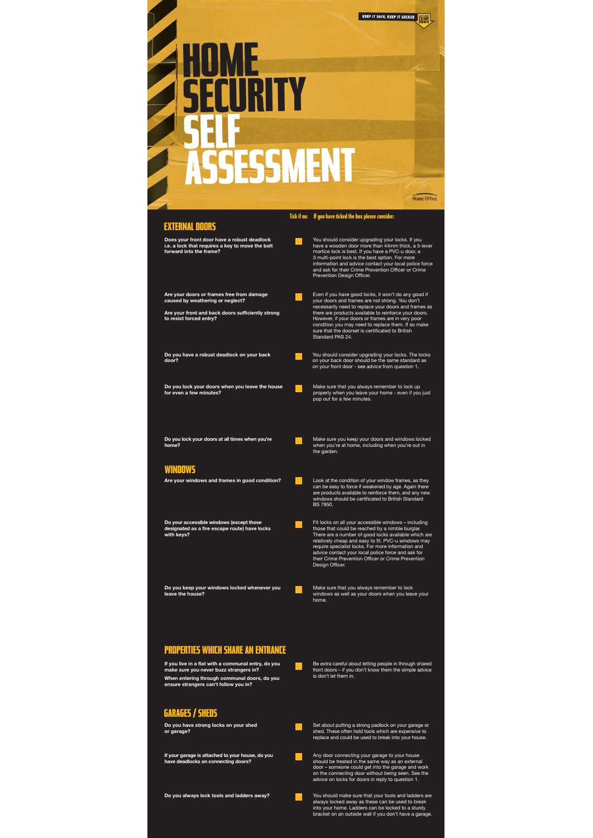## **GARAGES / SHEDS**

## **PROPERTIES WHICH SHARE AN ENTRANCE**

**Do you always lock tools and ladders away?** You should make sure that your tools and ladders are always locked away as these can be used to break into your home. Ladders can be locked to a sturdy bracket on an outside wall if you don't have a garage.

windows as well as your doors when you leave your home.

**If you live in a flat with a communal entry, do you make sure you never buzz strangers in?**

**When entering through communal doors, do you ensure strangers can't follow you in?** 

Be extra careful about letting people in through shared front doors – if you don't know them the simple advice is don't let them in.

**Do you have strong locks on your shed or garage?**



Set about putting a strong padlock on your garage or shed. These often hold tools which are expensive to replace and could be used to break into your house.



**If your garage is attached to your house, do you have deadlocks on connecting doors?** 

Any door connecting your garage to your house should be treated in the same way as an external door – someone could get into the garage and work on the connecting door without being seen. See the advice on locks for doors in reply to question 1.